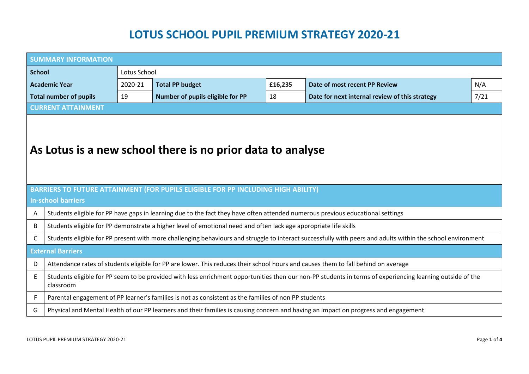## **LOTUS SCHOOL PUPIL PREMIUM STRATEGY 2020-21**

| <b>SUMMARY INFORMATION</b>                                                                                                                      |                                                                                                                                                                        |         |                                  |         |                                                |      |  |  |
|-------------------------------------------------------------------------------------------------------------------------------------------------|------------------------------------------------------------------------------------------------------------------------------------------------------------------------|---------|----------------------------------|---------|------------------------------------------------|------|--|--|
| <b>School</b><br>Lotus School                                                                                                                   |                                                                                                                                                                        |         |                                  |         |                                                |      |  |  |
| <b>Academic Year</b>                                                                                                                            |                                                                                                                                                                        | 2020-21 | <b>Total PP budget</b>           | £16,235 | Date of most recent PP Review                  | N/A  |  |  |
| <b>Total number of pupils</b>                                                                                                                   |                                                                                                                                                                        | 19      | Number of pupils eligible for PP | 18      | Date for next internal review of this strategy | 7/21 |  |  |
|                                                                                                                                                 | <b>CURRENT ATTAINMENT</b>                                                                                                                                              |         |                                  |         |                                                |      |  |  |
| As Lotus is a new school there is no prior data to analyse<br>BARRIERS TO FUTURE ATTAINMENT (FOR PUPILS ELIGIBLE FOR PP INCLUDING HIGH ABILITY) |                                                                                                                                                                        |         |                                  |         |                                                |      |  |  |
| A                                                                                                                                               | <b>In-school barriers</b><br>Students eligible for PP have gaps in learning due to the fact they have often attended numerous previous educational settings            |         |                                  |         |                                                |      |  |  |
| B                                                                                                                                               | Students eligible for PP demonstrate a higher level of emotional need and often lack age appropriate life skills                                                       |         |                                  |         |                                                |      |  |  |
| C                                                                                                                                               | Students eligible for PP present with more challenging behaviours and struggle to interact successfully with peers and adults within the school environment            |         |                                  |         |                                                |      |  |  |
| <b>External Barriers</b>                                                                                                                        |                                                                                                                                                                        |         |                                  |         |                                                |      |  |  |
| D                                                                                                                                               | Attendance rates of students eligible for PP are lower. This reduces their school hours and causes them to fall behind on average                                      |         |                                  |         |                                                |      |  |  |
| Ε                                                                                                                                               | Students eligible for PP seem to be provided with less enrichment opportunities then our non-PP students in terms of experiencing learning outside of the<br>classroom |         |                                  |         |                                                |      |  |  |
| F                                                                                                                                               | Parental engagement of PP learner's families is not as consistent as the families of non PP students                                                                   |         |                                  |         |                                                |      |  |  |
| G                                                                                                                                               | Physical and Mental Health of our PP learners and their families is causing concern and having an impact on progress and engagement                                    |         |                                  |         |                                                |      |  |  |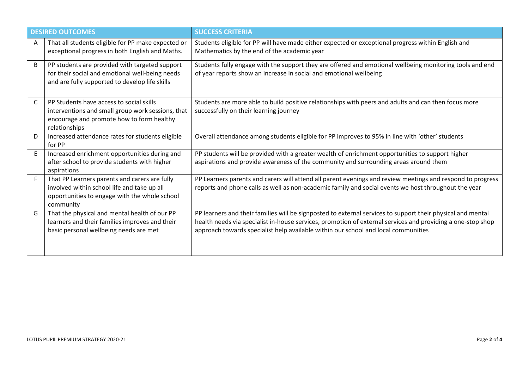| <b>DESIRED OUTCOMES</b> |                                                                                                                                                             | <b>SUCCESS CRITERIA</b>                                                                                                                                                                                                                                                                                          |  |  |  |
|-------------------------|-------------------------------------------------------------------------------------------------------------------------------------------------------------|------------------------------------------------------------------------------------------------------------------------------------------------------------------------------------------------------------------------------------------------------------------------------------------------------------------|--|--|--|
| A                       | That all students eligible for PP make expected or<br>exceptional progress in both English and Maths.                                                       | Students eligible for PP will have made either expected or exceptional progress within English and<br>Mathematics by the end of the academic year                                                                                                                                                                |  |  |  |
| B                       | PP students are provided with targeted support<br>for their social and emotional well-being needs<br>and are fully supported to develop life skills         | Students fully engage with the support they are offered and emotional wellbeing monitoring tools and end<br>of year reports show an increase in social and emotional wellbeing                                                                                                                                   |  |  |  |
| C                       | PP Students have access to social skills<br>interventions and small group work sessions, that<br>encourage and promote how to form healthy<br>relationships | Students are more able to build positive relationships with peers and adults and can then focus more<br>successfully on their learning journey                                                                                                                                                                   |  |  |  |
| D                       | Increased attendance rates for students eligible<br>for PP                                                                                                  | Overall attendance among students eligible for PP improves to 95% in line with 'other' students                                                                                                                                                                                                                  |  |  |  |
| E                       | Increased enrichment opportunities during and<br>after school to provide students with higher<br>aspirations                                                | PP students will be provided with a greater wealth of enrichment opportunities to support higher<br>aspirations and provide awareness of the community and surrounding areas around them                                                                                                                         |  |  |  |
| F                       | That PP Learners parents and carers are fully<br>involved within school life and take up all<br>opportunities to engage with the whole school<br>community  | PP Learners parents and carers will attend all parent evenings and review meetings and respond to progress<br>reports and phone calls as well as non-academic family and social events we host throughout the year                                                                                               |  |  |  |
| G                       | That the physical and mental health of our PP<br>learners and their families improves and their<br>basic personal wellbeing needs are met                   | PP learners and their families will be signposted to external services to support their physical and mental<br>health needs via specialist in-house services, promotion of external services and providing a one-stop shop<br>approach towards specialist help available within our school and local communities |  |  |  |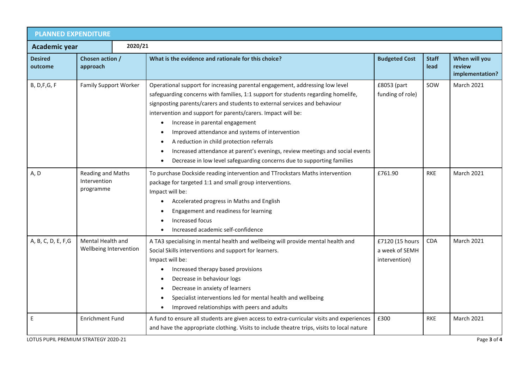| <b>PLANNED EXPENDITURE</b>                               |                                                |  |                                                                                                                                                                                                                                                                                                                                                                                                                                                                                                                                                                                                                                                                  |                                                    |                      |                                            |  |  |
|----------------------------------------------------------|------------------------------------------------|--|------------------------------------------------------------------------------------------------------------------------------------------------------------------------------------------------------------------------------------------------------------------------------------------------------------------------------------------------------------------------------------------------------------------------------------------------------------------------------------------------------------------------------------------------------------------------------------------------------------------------------------------------------------------|----------------------------------------------------|----------------------|--------------------------------------------|--|--|
| 2020/21<br>Academic year                                 |                                                |  |                                                                                                                                                                                                                                                                                                                                                                                                                                                                                                                                                                                                                                                                  |                                                    |                      |                                            |  |  |
| Chosen action /<br><b>Desired</b><br>approach<br>outcome |                                                |  | What is the evidence and rationale for this choice?                                                                                                                                                                                                                                                                                                                                                                                                                                                                                                                                                                                                              | <b>Budgeted Cost</b>                               | <b>Staff</b><br>lead | When will you<br>review<br>implementation? |  |  |
| <b>B, D, F, G, F</b>                                     | <b>Family Support Worker</b>                   |  | Operational support for increasing parental engagement, addressing low level<br>safeguarding concerns with families, 1:1 support for students regarding homelife,<br>signposting parents/carers and students to external services and behaviour<br>intervention and support for parents/carers. Impact will be:<br>Increase in parental engagement<br>$\bullet$<br>Improved attendance and systems of intervention<br>$\bullet$<br>A reduction in child protection referrals<br>$\bullet$<br>Increased attendance at parent's evenings, review meetings and social events<br>Decrease in low level safeguarding concerns due to supporting families<br>$\bullet$ | £8053 (part<br>funding of role)                    | SOW                  | <b>March 2021</b>                          |  |  |
| A, D                                                     | Reading and Maths<br>Intervention<br>programme |  | To purchase Dockside reading intervention and TTrockstars Maths intervention<br>package for targeted 1:1 and small group interventions.<br>Impact will be:<br>Accelerated progress in Maths and English<br>$\bullet$<br>Engagement and readiness for learning<br>$\bullet$<br>Increased focus<br>$\bullet$<br>Increased academic self-confidence                                                                                                                                                                                                                                                                                                                 | £761.90                                            | <b>RKE</b>           | <b>March 2021</b>                          |  |  |
| A, B, C, D, E, F, G                                      | Mental Health and<br>Wellbeing Intervention    |  | A TA3 specialising in mental health and wellbeing will provide mental health and<br>Social Skills interventions and support for learners.<br>Impact will be:<br>Increased therapy based provisions<br>$\bullet$<br>Decrease in behaviour logs<br>$\bullet$<br>Decrease in anxiety of learners<br>$\bullet$<br>Specialist interventions led for mental health and wellbeing<br>$\bullet$<br>Improved relationships with peers and adults<br>$\bullet$                                                                                                                                                                                                             | £7120 (15 hours<br>a week of SEMH<br>intervention) | <b>CDA</b>           | <b>March 2021</b>                          |  |  |
| E                                                        | <b>Enrichment Fund</b>                         |  | A fund to ensure all students are given access to extra-curricular visits and experiences<br>and have the appropriate clothing. Visits to include theatre trips, visits to local nature                                                                                                                                                                                                                                                                                                                                                                                                                                                                          | £300                                               | <b>RKE</b>           | <b>March 2021</b>                          |  |  |